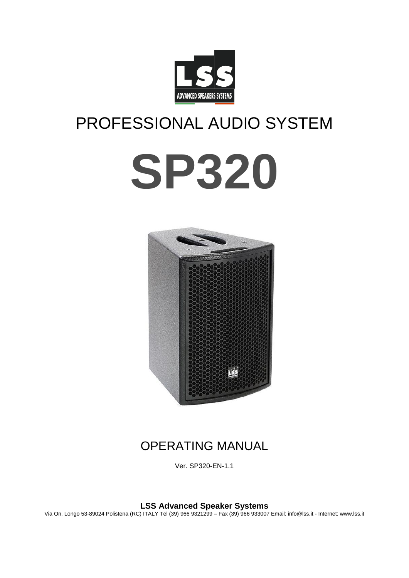

## PROFESSIONAL AUDIO SYSTEM

# **SP320**



## OPERATING MANUAL

Ver. SP320-EN-1.1

**LSS Advanced Speaker Systems**

Via On. Longo 53-89024 Polistena (RC) ITALY Tel (39) 966 9321299 – Fax (39) 966 933007 Email: info@lss.it - Internet: www.lss.it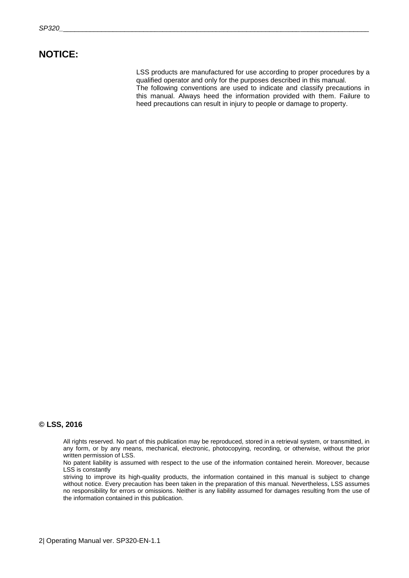### **NOTICE:**

LSS products are manufactured for use according to proper procedures by a qualified operator and only for the purposes described in this manual. The following conventions are used to indicate and classify precautions in this manual. Always heed the information provided with them. Failure to heed precautions can result in injury to people or damage to property.

#### **© LSS, 2016**

All rights reserved. No part of this publication may be reproduced, stored in a retrieval system, or transmitted, in any form, or by any means, mechanical, electronic, photocopying, recording, or otherwise, without the prior written permission of LSS.

No patent liability is assumed with respect to the use of the information contained herein. Moreover, because LSS is constantly

striving to improve its high-quality products, the information contained in this manual is subject to change without notice. Every precaution has been taken in the preparation of this manual. Nevertheless, LSS assumes no responsibility for errors or omissions. Neither is any liability assumed for damages resulting from the use of the information contained in this publication.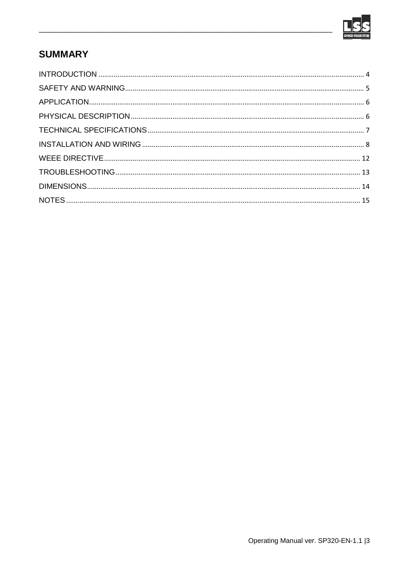

## **SUMMARY**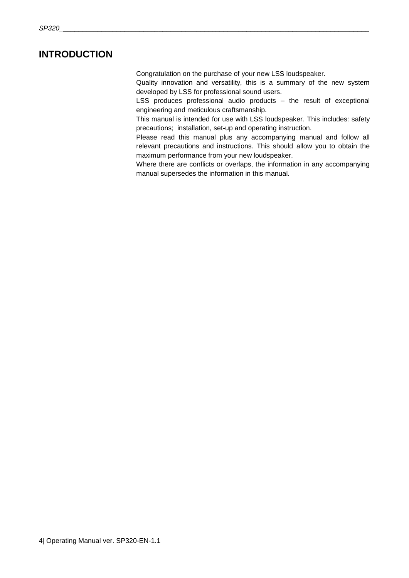## <span id="page-3-0"></span>**INTRODUCTION**

Congratulation on the purchase of your new LSS loudspeaker.

Quality innovation and versatility, this is a summary of the new system developed by LSS for professional sound users.

LSS produces professional audio products – the result of exceptional engineering and meticulous craftsmanship.

This manual is intended for use with LSS loudspeaker. This includes: safety precautions; installation, set-up and operating instruction.

Please read this manual plus any accompanying manual and follow all relevant precautions and instructions. This should allow you to obtain the maximum performance from your new loudspeaker.

Where there are conflicts or overlaps, the information in any accompanying manual supersedes the information in this manual.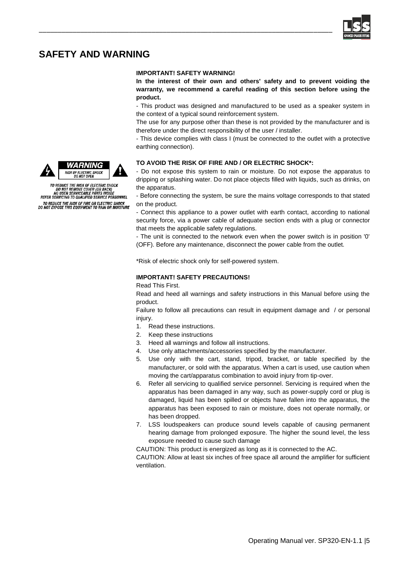

## <span id="page-4-0"></span>**SAFETY AND WARNING**

#### **IMPORTANT! SAFETY WARNING!**

\_\_\_\_\_\_\_\_\_\_\_\_\_\_\_\_\_\_\_\_\_\_\_\_\_\_\_\_\_\_\_\_\_\_\_\_\_\_\_\_\_\_\_\_\_\_\_\_\_\_\_\_\_\_\_\_\_\_\_\_\_\_\_\_\_\_\_\_\_\_\_\_\_\_\_\_\_\_

**In the interest of their own and others' safety and to prevent voiding the warranty, we recommend a careful reading of this section before using the product.**

- This product was designed and manufactured to be used as a speaker system in the context of a typical sound reinforcement system.

The use for any purpose other than these is not provided by the manufacturer and is therefore under the direct responsibility of the user / installer.

- This device complies with class I (must be connected to the outlet with a protective earthing connection).

#### **TO AVOID THE RISK OF FIRE AND / OR ELECTRIC SHOCK\*:**

- Do not expose this system to rain or moisture. Do not expose the apparatus to dripping or splashing water. Do not place objects filled with liquids, such as drinks, on the apparatus.

- Before connecting the system, be sure the mains voltage corresponds to that stated on the product.

- Connect this appliance to a power outlet with earth contact, according to national security force, via a power cable of adequate section ends with a plug or connector that meets the applicable safety regulations.

- The unit is connected to the network even when the power switch is in position '0' (OFF). Before any maintenance, disconnect the power cable from the outlet.

\*Risk of electric shock only for self-powered system.

#### **IMPORTANT! SAFETY PRECAUTIONS!**

Read This First.

Read and heed all warnings and safety instructions in this Manual before using the product.

Failure to follow all precautions can result in equipment damage and / or personal injury.

- 1. Read these instructions.
- 2. Keep these instructions
- 3. Heed all warnings and follow all instructions.
- 4. Use only attachments/accessories specified by the manufacturer.
- 5. Use only with the cart, stand, tripod, bracket, or table specified by the manufacturer, or sold with the apparatus. When a cart is used, use caution when moving the cart/apparatus combination to avoid injury from tip-over.
- 6. Refer all servicing to qualified service personnel. Servicing is required when the apparatus has been damaged in any way, such as power-supply cord or plug is damaged, liquid has been spilled or objects have fallen into the apparatus, the apparatus has been exposed to rain or moisture, does not operate normally, or has been dropped.
- 7. LSS loudspeakers can produce sound levels capable of causing permanent hearing damage from prolonged exposure. The higher the sound level, the less exposure needed to cause such damage

CAUTION: This product is energized as long as it is connected to the AC.

CAUTION: Allow at least six inches of free space all around the amplifier for sufficient ventilation.





TO REDUCE THE RISK OF ELECTRIC SHOCK<br>DO NOT REMOVE COVER (OR BACK)<br>NO USER SERVICEABLE PARTS INSIDE<br>REFER SERVICING TO QUALIFIED SERVICE PERSONNEL

TO REDUCE THE RISK OF FIRE OR ELECTRIC SHOCK<br>DO NOT EXPOSE THIS EQUIPMENT TO RAIN OR MOISTURE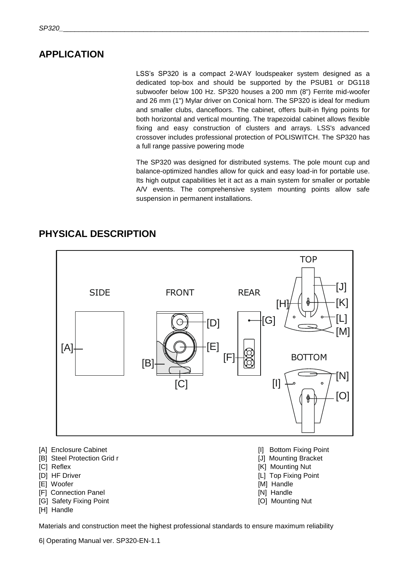## <span id="page-5-0"></span>**APPLICATION**

LSS's SP320 is a compact 2-WAY loudspeaker system designed as a dedicated top-box and should be supported by the PSUB1 or DG118 subwoofer below 100 Hz. SP320 houses a 200 mm (8") Ferrite mid-woofer and 26 mm (1") Mylar driver on Conical horn. The SP320 is ideal for medium and smaller clubs, dancefloors. The cabinet, offers built-in flying points for both horizontal and vertical mounting. The trapezoidal cabinet allows flexible fixing and easy construction of clusters and arrays. LSS's advanced crossover includes professional protection of POLISWITCH. The SP320 has a full range passive powering mode

The SP320 was designed for distributed systems. The pole mount cup and balance-optimized handles allow for quick and easy load-in for portable use. Its high output capabilities let it act as a main system for smaller or portable A/V events. The comprehensive system mounting points allow safe suspension in permanent installations.



## <span id="page-5-1"></span>**PHYSICAL DESCRIPTION**

- 
- [B] Steel Protection Grid r **[J]** Mounting Bracket
- 
- 
- 
- [F] Connection Panel **[N]** Handle
- [G] Safety Fixing Point **[O]** Mounting Nut
- [H] Handle
- [A] Enclosure Cabinet **[I]** Bottom Fixing Point
	-
- [C] Reflex [K] Mounting Nut
- [D] HF Driver [L] Top Fixing Point
- [E] Woofer [M] Handle
	-
	-

Materials and construction meet the highest professional standards to ensure maximum reliability

6| Operating Manual ver. SP320-EN-1.1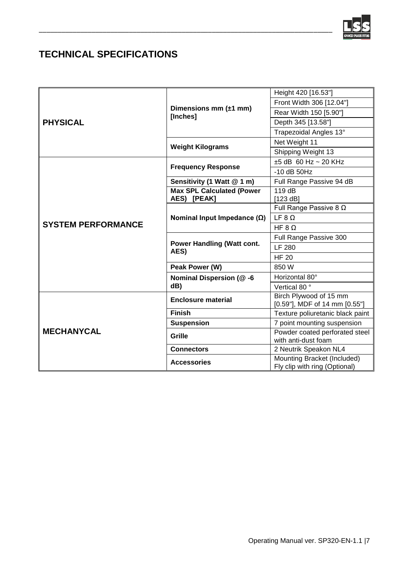

## <span id="page-6-0"></span>**TECHNICAL SPECIFICATIONS**

| <b>PHYSICAL</b>           | Dimensions mm $(\pm 1$ mm)<br>[Inches]    | Height 420 [16.53"]                                          |
|---------------------------|-------------------------------------------|--------------------------------------------------------------|
|                           |                                           | Front Width 306 [12.04"]                                     |
|                           |                                           | Rear Width 150 [5.90"]                                       |
|                           |                                           | Depth 345 [13.58"]                                           |
|                           |                                           | Trapezoidal Angles 13°                                       |
|                           | <b>Weight Kilograms</b>                   | Net Weight 11                                                |
|                           |                                           | Shipping Weight 13                                           |
| <b>SYSTEM PERFORMANCE</b> | <b>Frequency Response</b>                 | $±5$ dB 60 Hz ~ 20 KHz                                       |
|                           |                                           | $-10$ dB $50$ Hz                                             |
|                           | Sensitivity (1 Watt @ 1 m)                | Full Range Passive 94 dB                                     |
|                           | <b>Max SPL Calculated (Power</b>          | 119dB                                                        |
|                           | AES) [PEAK]                               | [123 dB]                                                     |
|                           | Nominal Input Impedance $(\Omega)$        | Full Range Passive 8 $\Omega$                                |
|                           |                                           | LF 8 Q                                                       |
|                           |                                           | HF $8 \Omega$                                                |
|                           | <b>Power Handling (Watt cont.</b><br>AES) | Full Range Passive 300                                       |
|                           |                                           | <b>LF 280</b>                                                |
|                           |                                           | <b>HF 20</b>                                                 |
|                           | Peak Power (W)                            | 850 W                                                        |
|                           | Nominal Dispersion (@-6<br>dB)            | Horizontal 80°                                               |
|                           |                                           | Vertical 80°                                                 |
| <b>MECHANYCAL</b>         | <b>Enclosure material</b>                 | Birch Plywood of 15 mm<br>[0.59"], MDF of 14 mm [0.55"]      |
|                           | <b>Finish</b>                             | Texture poliuretanic black paint                             |
|                           | <b>Suspension</b>                         | 7 point mounting suspension                                  |
|                           | Grille                                    | Powder coated perforated steel<br>with anti-dust foam        |
|                           | <b>Connectors</b>                         | 2 Neutrik Speakon NL4                                        |
|                           | <b>Accessories</b>                        | Mounting Bracket (Included)<br>Fly clip with ring (Optional) |

\_\_\_\_\_\_\_\_\_\_\_\_\_\_\_\_\_\_\_\_\_\_\_\_\_\_\_\_\_\_\_\_\_\_\_\_\_\_\_\_\_\_\_\_\_\_\_\_\_\_\_\_\_\_\_\_\_\_\_\_\_\_\_\_\_\_\_\_\_\_\_\_\_\_\_\_\_\_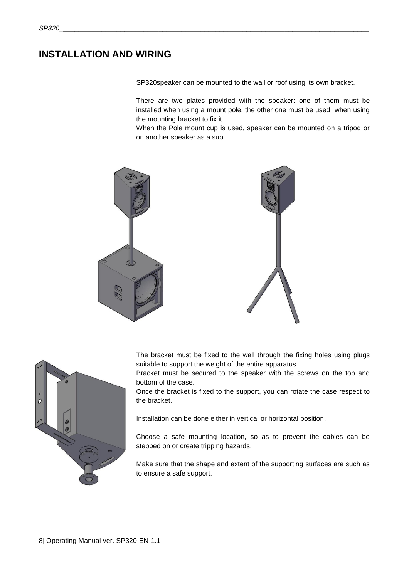## <span id="page-7-0"></span>**INSTALLATION AND WIRING**

SP320speaker can be mounted to the wall or roof using its own bracket.

There are two plates provided with the speaker: one of them must be installed when using a mount pole, the other one must be used when using the mounting bracket to fix it.

When the Pole mount cup is used, speaker can be mounted on a tripod or on another speaker as a sub.





The bracket must be fixed to the wall through the fixing holes using plugs suitable to support the weight of the entire apparatus.

Bracket must be secured to the speaker with the screws on the top and bottom of the case.

Once the bracket is fixed to the support, you can rotate the case respect to the bracket.

Installation can be done either in vertical or horizontal position.

Choose a safe mounting location, so as to prevent the cables can be stepped on or create tripping hazards.

Make sure that the shape and extent of the supporting surfaces are such as to ensure a safe support.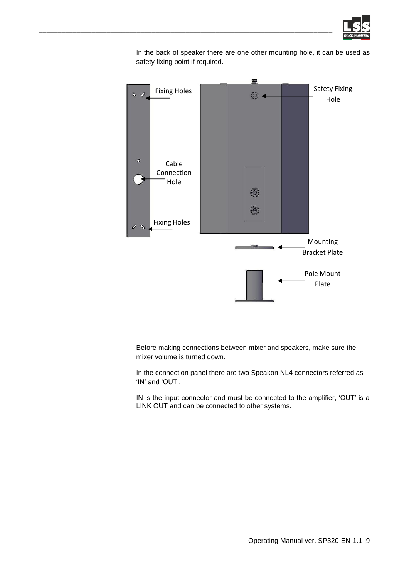

In the back of speaker there are one other mounting hole, it can be used as safety fixing point if required.

\_\_\_\_\_\_\_\_\_\_\_\_\_\_\_\_\_\_\_\_\_\_\_\_\_\_\_\_\_\_\_\_\_\_\_\_\_\_\_\_\_\_\_\_\_\_\_\_\_\_\_\_\_\_\_\_\_\_\_\_\_\_\_\_\_\_\_\_\_\_\_\_\_\_\_\_\_\_



Before making connections between mixer and speakers, make sure the mixer volume is turned down.

In the connection panel there are two Speakon NL4 connectors referred as 'IN' and 'OUT'.

IN is the input connector and must be connected to the amplifier, 'OUT' is a LINK OUT and can be connected to other systems.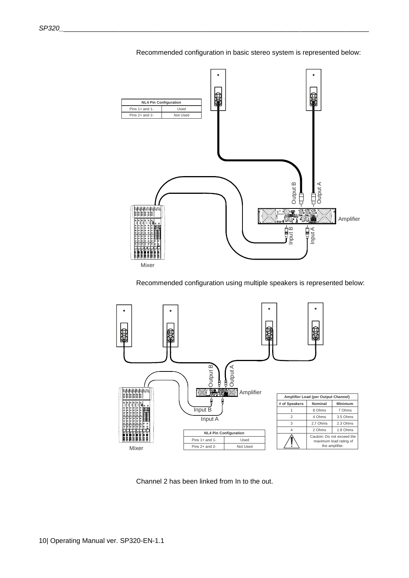

Recommended configuration in basic stereo system is represented below:

Recommended configuration using multiple speakers is represented below:



Channel 2 has been linked from In to the out.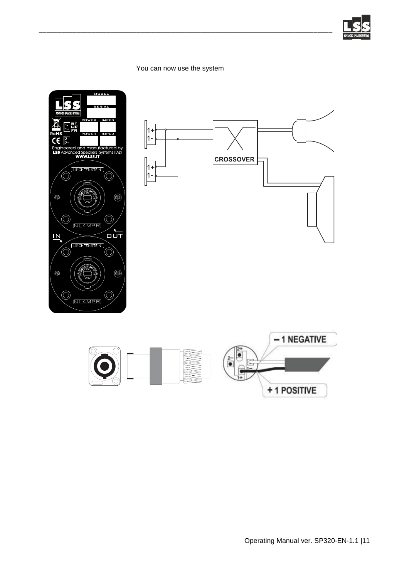

#### You can now use the system

\_\_\_\_\_\_\_\_\_\_\_\_\_\_\_\_\_\_\_\_\_\_\_\_\_\_\_\_\_\_\_\_\_\_\_\_\_\_\_\_\_\_\_\_\_\_\_\_\_\_\_\_\_\_\_\_\_\_\_\_\_\_\_\_\_\_\_\_\_\_\_\_\_\_\_\_\_\_

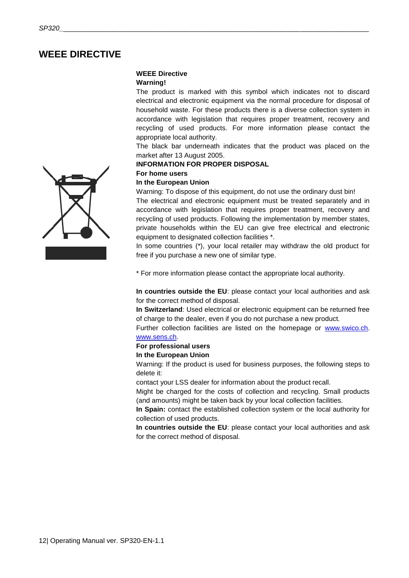## <span id="page-11-0"></span>**WEEE DIRECTIVE**

#### **WEEE Directive**

#### **Warning!**

The product is marked with this symbol which indicates not to discard electrical and electronic equipment via the normal procedure for disposal of household waste. For these products there is a diverse collection system in accordance with legislation that requires proper treatment, recovery and recycling of used products. For more information please contact the appropriate local authority.

The black bar underneath indicates that the product was placed on the market after 13 August 2005.

#### **INFORMATION FOR PROPER DISPOSAL**

#### **For home users**

#### **In the European Union**

Warning: To dispose of this equipment, do not use the ordinary dust bin!

The electrical and electronic equipment must be treated separately and in accordance with legislation that requires proper treatment, recovery and recycling of used products. Following the implementation by member states, private households within the EU can give free electrical and electronic equipment to designated collection facilities \*.

In some countries (\*), your local retailer may withdraw the old product for free if you purchase a new one of similar type.

\* For more information please contact the appropriate local authority.

**In countries outside the EU**: please contact your local authorities and ask for the correct method of disposal.

**In Switzerland**: Used electrical or electronic equipment can be returned free of charge to the dealer, even if you do not purchase a new product.

Further collection facilities are listed on the homepage or [www.swico.ch.](http://www.swico.ch/) [www.sens.ch.](http://www.sens.ch/) 

#### **For professional users**

#### **In the European Union**

Warning: If the product is used for business purposes, the following steps to delete it:

contact your LSS dealer for information about the product recall.

Might be charged for the costs of collection and recycling. Small products (and amounts) might be taken back by your local collection facilities.

**In Spain:** contact the established collection system or the local authority for collection of used products.

**In countries outside the EU**: please contact your local authorities and ask for the correct method of disposal.

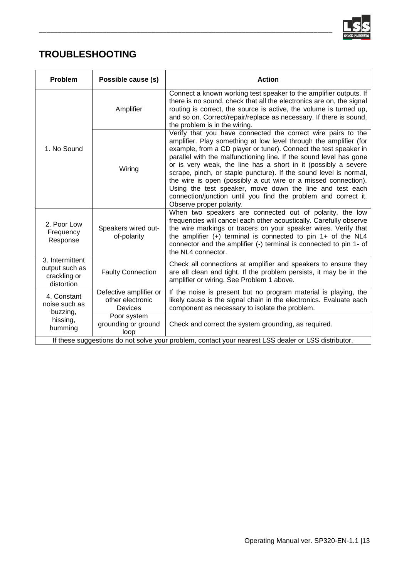

## <span id="page-12-0"></span>**TROUBLESHOOTING**

| Problem                                                                                             | Possible cause (s)                                    | <b>Action</b>                                                                                                                                                                                                                                                                                                                                                                                                                                                                                                                                                                                                                                  |  |  |
|-----------------------------------------------------------------------------------------------------|-------------------------------------------------------|------------------------------------------------------------------------------------------------------------------------------------------------------------------------------------------------------------------------------------------------------------------------------------------------------------------------------------------------------------------------------------------------------------------------------------------------------------------------------------------------------------------------------------------------------------------------------------------------------------------------------------------------|--|--|
| 1. No Sound                                                                                         | Amplifier                                             | Connect a known working test speaker to the amplifier outputs. If<br>there is no sound, check that all the electronics are on, the signal<br>routing is correct, the source is active, the volume is turned up,<br>and so on. Correct/repair/replace as necessary. If there is sound,<br>the problem is in the wiring.                                                                                                                                                                                                                                                                                                                         |  |  |
|                                                                                                     | Wiring                                                | Verify that you have connected the correct wire pairs to the<br>amplifier. Play something at low level through the amplifier (for<br>example, from a CD player or tuner). Connect the test speaker in<br>parallel with the malfunctioning line. If the sound level has gone<br>or is very weak, the line has a short in it (possibly a severe<br>scrape, pinch, or staple puncture). If the sound level is normal,<br>the wire is open (possibly a cut wire or a missed connection).<br>Using the test speaker, move down the line and test each<br>connection/junction until you find the problem and correct it.<br>Observe proper polarity. |  |  |
| 2. Poor Low<br>Frequency<br>Response                                                                | Speakers wired out-<br>of-polarity                    | When two speakers are connected out of polarity, the low<br>frequencies will cancel each other acoustically. Carefully observe<br>the wire markings or tracers on your speaker wires. Verify that<br>the amplifier $(+)$ terminal is connected to pin 1+ of the NL4<br>connector and the amplifier (-) terminal is connected to pin 1- of<br>the NL4 connector.                                                                                                                                                                                                                                                                                |  |  |
| 3. Intermittent<br>output such as<br>crackling or<br>distortion                                     | <b>Faulty Connection</b>                              | Check all connections at amplifier and speakers to ensure they<br>are all clean and tight. If the problem persists, it may be in the<br>amplifier or wiring. See Problem 1 above.                                                                                                                                                                                                                                                                                                                                                                                                                                                              |  |  |
| 4. Constant<br>noise such as<br>buzzing,<br>hissing,<br>humming                                     | Defective amplifier or<br>other electronic<br>Devices | If the noise is present but no program material is playing, the<br>likely cause is the signal chain in the electronics. Evaluate each<br>component as necessary to isolate the problem.                                                                                                                                                                                                                                                                                                                                                                                                                                                        |  |  |
|                                                                                                     | Poor system<br>grounding or ground<br>loop            | Check and correct the system grounding, as required.                                                                                                                                                                                                                                                                                                                                                                                                                                                                                                                                                                                           |  |  |
| If these suggestions do not solve your problem, contact your nearest LSS dealer or LSS distributor. |                                                       |                                                                                                                                                                                                                                                                                                                                                                                                                                                                                                                                                                                                                                                |  |  |

\_\_\_\_\_\_\_\_\_\_\_\_\_\_\_\_\_\_\_\_\_\_\_\_\_\_\_\_\_\_\_\_\_\_\_\_\_\_\_\_\_\_\_\_\_\_\_\_\_\_\_\_\_\_\_\_\_\_\_\_\_\_\_\_\_\_\_\_\_\_\_\_\_\_\_\_\_\_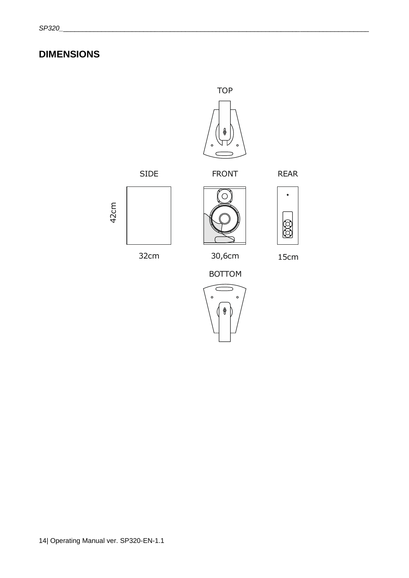## <span id="page-13-0"></span>**DIMENSIONS**





FRONT

REAR







32cm 15cm 30,6cm



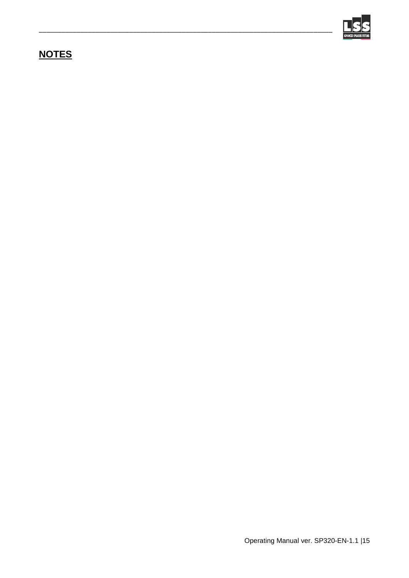

## <span id="page-14-0"></span>**NOTES**